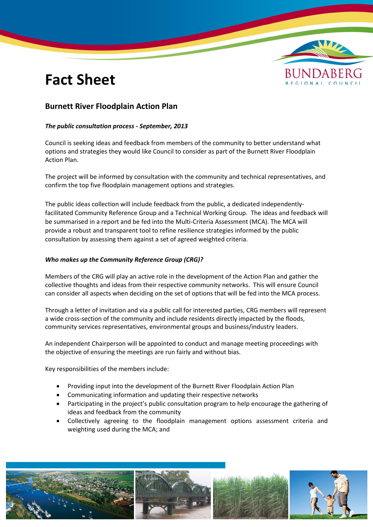# **Fact Sheet**



### **Burnett River Floodplain Action Plan**

### *The public consultation process - September, 2013*

Council is seeking ideas and feedback from members of the community to better understand what options and strategies they would like Council to consider as part of the Burnett River Floodplain Action Plan.

The project will be informed by consultation with the community and technical representatives, and confirm the top five floodplain management options and strategies.

The public ideas collection will include feedback from the public, a dedicated independentlyfacilitated Community Reference Group and a Technical Working Group. The ideas and feedback will be summarised in a report and be fed into the Multi-Criteria Assessment (MCA). The MCA will provide a robust and transparent tool to refine resilience strategies informed by the public consultation by assessing them against a set of agreed weighted criteria.

#### *Who makes up the Community Reference Group (CRG)?*

Members of the CRG will play an active role in the development of the Action Plan and gather the collective thoughts and ideas from their respective community networks. This will ensure Council can consider all aspects when deciding on the set of options that will be fed into the MCA process.

Through a letter of invitation and via a public call for interested parties, CRG members will represent a wide cross-section of the community and include residents directly impacted by the floods, community services representatives, environmental groups and business/industry leaders.

An independent Chairperson will be appointed to conduct and manage meeting proceedings with the objective of ensuring the meetings are run fairly and without bias.

Key responsibilities of the members include:

- Providing input into the development of the Burnett River Floodplain Action Plan
- Communicating information and updating their respective networks
- Participating in the project's public consultation program to help encourage the gathering of ideas and feedback from the community
- Collectively agreeing to the floodplain management options assessment criteria and weighting used during the MCA; and